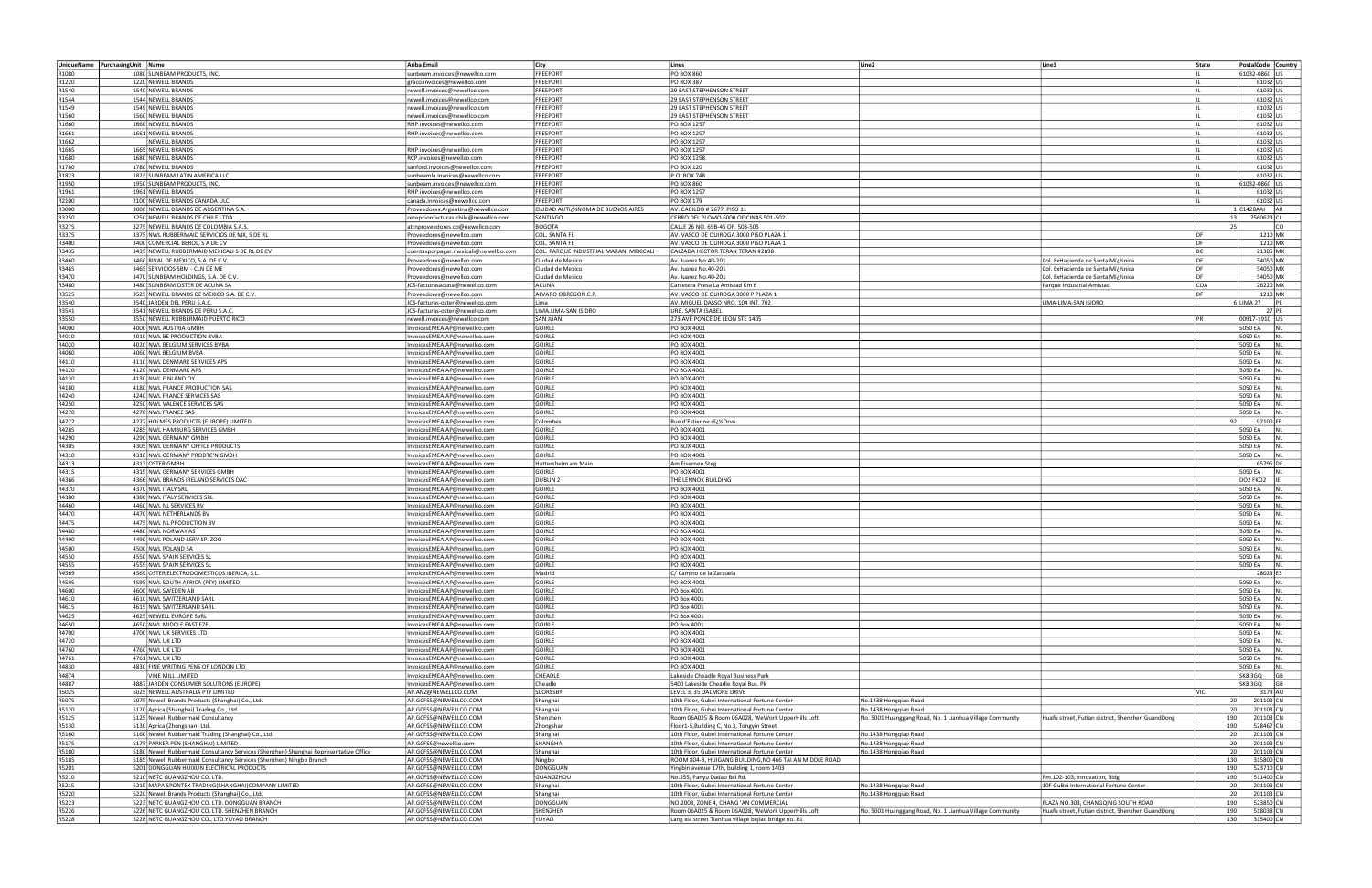| UniqueName PurchasingUnit Name |                                                                                                  | <b>Ariba Email</b>                                                | City                                                    | Lines                                                                                   | Line2                                                    | Line3                                             | State | PostalCode Country                  |
|--------------------------------|--------------------------------------------------------------------------------------------------|-------------------------------------------------------------------|---------------------------------------------------------|-----------------------------------------------------------------------------------------|----------------------------------------------------------|---------------------------------------------------|-------|-------------------------------------|
| R1080                          | 1080 SUNBEAM PRODUCTS, INC.                                                                      | sunbeam.invoices@newellco.com                                     | FREEPORT                                                | <b>PO BOX 860</b>                                                                       |                                                          |                                                   |       | 61032-0860                          |
| R1220                          | 1220 NEWELL BRANDS                                                                               | graco.invoices@newellco.com                                       | FREEPORT                                                | PO BOX 387                                                                              |                                                          |                                                   |       | 61032 US                            |
| R1540                          | 1540 NEWELL BRANDS                                                                               | newell.invoices@newellco.com                                      | FREEPORT                                                | <b>29 EAST STEPHENSON STREET</b>                                                        |                                                          |                                                   |       | 61032 US                            |
| R1544                          | 1544 NEWELL BRANDS                                                                               | newell.invoices@newellco.com                                      | FREEPORT                                                | <b>29 EAST STEPHENSON STREET</b>                                                        |                                                          |                                                   |       | 61032 US                            |
| R1549                          | 1549 NEWELL BRANDS                                                                               | newell.invoices@newellco.com                                      | FREEPORT                                                | 29 EAST STEPHENSON STREET                                                               |                                                          |                                                   |       | 61032 US                            |
| R1560<br>R1660                 | 1560 NEWELL BRANDS<br>1660 NEWELL BRANDS                                                         | newell.invoices@newellco.com                                      | FREEPORT<br><b>FREEPORT</b>                             | <b>29 EAST STEPHENSON STREET</b>                                                        |                                                          |                                                   |       | 61032 US                            |
| R1661                          | 1661 NEWELL BRANDS                                                                               | RHP.invoices@newellco.com<br>RHP.invoices@newellco.com            | FREEPORT                                                | PO BOX 1257<br>PO BOX 1257                                                              |                                                          |                                                   |       | 61032 US<br>61032 US                |
| R1662                          | <b>NEWELL BRANDS</b>                                                                             |                                                                   | <b>FREEPORT</b>                                         | PO BOX 1257                                                                             |                                                          |                                                   |       | 61032 US                            |
| R1665                          | 1665 NEWELL BRANDS                                                                               | RHP.invoices@newellco.com                                         | FREEPORT                                                | PO BOX 1257                                                                             |                                                          |                                                   |       | 61032 US                            |
| R1680                          | 1680 NEWELL BRANDS                                                                               | RCP.invoices@newellco.com                                         | FREEPORT                                                | PO BOX 1258                                                                             |                                                          |                                                   |       | 61032 US                            |
| R1780                          | 1780 NEWELL BRANDS                                                                               | sanford.invoices@newellco.com                                     | FREEPORT                                                | <b>PO BOX 120</b>                                                                       |                                                          |                                                   |       | $61032$ US                          |
| R1823                          | 1823 SUNBEAM LATIN AMERICA LLC                                                                   | sunbeamla.invoices@newellco.com                                   | <b>FREEPORT</b>                                         | P.O. BOX 748                                                                            |                                                          |                                                   |       | 61032 US                            |
| R1950                          | 1950 SUNBEAM PRODUCTS. INC.                                                                      | sunbeam.invoices@newellco.com                                     | FREEPORT                                                | <b>PO BOX 860</b>                                                                       |                                                          |                                                   |       | 1032-0860                           |
| R1961                          | 1961 NEWELL BRANDS                                                                               | RHP.invoices@newellco.com                                         | <b>FREEPORT</b>                                         | PO BOX 1257                                                                             |                                                          |                                                   |       | 61032 US                            |
| R2100                          | 2100 NEWELL BRANDS CANADA ULC                                                                    | canada.invoices@newellco.com                                      | <b>FREEPORT</b>                                         | PO BOX 179                                                                              |                                                          |                                                   |       | 61032                               |
| R3000                          | 3000 NEWELL BRANDS DE ARGENTINA S.A.                                                             | Proveedores.Argentina@newellco.com                                | CIUDAD AUTI¿ 1/2NOMA DE BUENOS AIRES                    | AV. CABILDO # 2677, PISO 11                                                             |                                                          |                                                   |       | 1 C1428AAI                          |
| R3250                          | 3250 NEWELL BRANDS DE CHILE LTDA                                                                 | recepcionfacturas.chile@newellco.com                              | <b>SANTIAGO</b>                                         | CERRO DEL PLOMO 6000 OFICINAS 501-502                                                   |                                                          |                                                   |       | 7560623 CI<br>13 <sup>1</sup>       |
| R3275                          | 3275 NEWELL BRANDS DE COLOMBIA S.A.S                                                             | attnproveedores.co@newellco.com                                   | <b>BOGOTA</b>                                           | CALLE 26 NO. 69B-45 OF. 503-505                                                         |                                                          |                                                   |       | - 25  <br>co                        |
| R3375                          | 3375 NWL RUBBERMAID SERVICIOS DE MX, S DE RL                                                     | Proveedores@newellco.com                                          | COL. SANTA FE                                           | AV. VASCO DE QUIROGA 3000 PISO PLAZA 1                                                  |                                                          |                                                   | Inr   | 1210 MX                             |
| R3400<br>R3435                 | 3400 COMERCIAL BEROL, S A DE CV<br>3435 NEWELL RUBBERMAID MEXICALI S DE RL DE CV                 | Proveedores@newellco.com                                          | COL. SANTA FE<br>COL. PARQUE INDUSTRIAL MARAN, MEXICALI | AV. VASCO DE QUIROGA 3000 PISO PLAZA 1<br>CALZADA HECTOR TERAN TERAN #2898              |                                                          |                                                   | IDF   | 1210 MX<br>21385 MX                 |
| R3460                          | 3460 RIVAL DE MEXICO, S.A. DE C.V.                                                               | cuentasporpagar.mexicali@newellco.com<br>Proveedores@newellco.com | Ciudad de Mexico                                        | Av. Juarez No.40-201                                                                    |                                                          | Col. ExHacienda de Santa M�nica                   | Inr   | 54050 MX                            |
| R3465                          | 3465 SERVICIOS SBM - CLN DE ME                                                                   | Proveedores@newellco.com                                          | Ciudad de Mexico                                        | Av. Juarez No.40-201                                                                    |                                                          | Col. ExHacienda de Santa M�nica                   | Int   | 54050 MX                            |
| R3470                          | 3470 SUNBEAM HOLDINGS, S.A. DE C.V                                                               | Proveedores@newellco.com                                          | Ciudad de Mexico                                        | Av. Juarez No.40-201                                                                    |                                                          | Col. ExHacienda de Santa M�nica                   | IDF   | 54050 MX                            |
| R3480                          | 3480 SUNBEAM OSTER DE ACUNA SA                                                                   | JCS-facturasacuna@newellco.com                                    | <b>ACUNA</b>                                            | Carretera Presa La Amistad Km 6                                                         |                                                          | Parque Industrial Amistad                         | lcoa  | 26220 MX                            |
| R3525                          | 3525 NEWELL BRANDS DE MEXICO S.A. DE C.V.                                                        | Proveedores@newellco.com                                          | ALVARO OBREGON C.P.                                     | AV. VASCO DE QUIROGA 3000 P PLAZA 1                                                     |                                                          |                                                   |       | 1210 MX                             |
| R3540                          | 3540 JARDEN DEL PERU S.A.C.                                                                      | JCS-facturas-oster@newellco.com                                   | Lima                                                    | AV. MIGUEL DASSO NRO. 104 INT. 702                                                      |                                                          | LIMA-LIMA-SAN ISIDRO                              |       | 6 LIMA 27<br>PF                     |
| R3541                          | 3541 NEWELL BRANDS DE PERU S.A.C.                                                                | JCS-facturas-oster@newellco.com                                   | LIMA.LIMA-SAN ISIDRO                                    | URB. SANTA ISABEL                                                                       |                                                          |                                                   |       | 27 PE                               |
| R3550                          | 3550 NEWELL RUBBERMAID PUERTO RICO                                                               | newell.invoices@newellco.com                                      | <b>SAN JUAN</b>                                         | 273 AVE PONCE DE LEON STE 1405                                                          |                                                          |                                                   |       | 00917-1910                          |
| R4000                          | 4000 NWL AUSTRIA GMBH                                                                            | InvoicesEMEA.AP@newellco.com                                      | GOIRLE                                                  | PO BOX 4001                                                                             |                                                          |                                                   |       | 5050 EA                             |
| R4010                          | 4010 NWL BE PRODUCTION BVBA                                                                      | InvoicesEMEA.AP@newellco.com                                      | GOIRLE                                                  | PO BOX 4001                                                                             |                                                          |                                                   |       | 5050 EA                             |
| R4020                          | 4020 NWL BELGIUM SERVICES BVBA                                                                   | InvoicesEMEA.AP@newellco.com                                      | GOIRLE                                                  | PO BOX 4001                                                                             |                                                          |                                                   |       | 5050 EA                             |
| R4060                          | 4060 NWL BELGIUM BVBA                                                                            | InvoicesEMEA.AP@newellco.com                                      | GOIRLE                                                  | PO BOX 4001                                                                             |                                                          |                                                   |       | 5050 EA                             |
| R4110                          | 4110 NWL DENMARK SERVICES APS                                                                    | InvoicesEMEA.AP@newellco.com                                      | GOIRLE                                                  | PO BOX 4001                                                                             |                                                          |                                                   |       | 5050 EA                             |
| R4120                          | 4120 NWL DENMARK APS                                                                             | invoicesEMEA.AP@newellco.com                                      | <b>GOIRLE</b>                                           | PO BOX 4001                                                                             |                                                          |                                                   |       | 5050 EA                             |
| R4130                          | 4130 NWL FINLAND OY                                                                              | InvoicesEMEA.AP@newellco.com                                      | GOIRLE                                                  | PO BOX 4001                                                                             |                                                          |                                                   |       | 5050 EA                             |
| R4180<br>R4240                 | 4180 NWL FRANCE PRODUCTION SAS<br>4240 NWL FRANCE SERVICES SAS                                   | InvoicesEMEA.AP@newellco.com<br>InvoicesEMEA.AP@newellco.com      | GOIRLE<br>GOIRLE                                        | PO BOX 4001<br>PO BOX 4001                                                              |                                                          |                                                   |       | 5050 EA<br>5050 EA                  |
| R4250                          | 4250 NWL VALENCE SERVICES SAS                                                                    | InvoicesEMEA.AP@newellco.com                                      | GOIRLE                                                  | PO BOX 4001                                                                             |                                                          |                                                   |       | 5050 EA                             |
| R4270                          | 4270 NWL FRANCE SAS                                                                              | InvoicesEMEA.AP@newellco.com                                      | GOIRLE                                                  | PO BOX 4001                                                                             |                                                          |                                                   |       | 5050 EA                             |
| R4272                          | 4272 HOLMES PRODUCTS (EUROPE) LIMITED                                                            | InvoicesEMEA.AP@newellco.com                                      | Colombes                                                | Rue d'Estienne dï¿%Orve                                                                 |                                                          |                                                   |       | 92100 FR<br>921                     |
| R4285                          | 4285 NWL HAMBURG SERVICES GMBH                                                                   | InvoicesEMEA.AP@newellco.com                                      | GOIRLE                                                  | PO BOX 4001                                                                             |                                                          |                                                   |       | 5050 EA                             |
| R4290                          | 4290 NWL GERMANY GMBH                                                                            | InvoicesEMEA.AP@newellco.com                                      | <b>GOIRLE</b>                                           | PO BOX 4001                                                                             |                                                          |                                                   |       | 5050 EA                             |
| R4305                          | 4305 NWL GERMANY OFFICE PRODUCTS                                                                 | nvoicesEMEA.AP@newellco.com                                       | GOIRLE                                                  | PO BOX 4001                                                                             |                                                          |                                                   |       | 5050 EA                             |
| R4310                          | 4310 NWL GERMANY PRODTC'N GMBH                                                                   | InvoicesEMEA.AP@newellco.com                                      | <b>GOIRLE</b>                                           | PO BOX 4001                                                                             |                                                          |                                                   |       | 5050 EA                             |
| R4313                          | 4313 OSTER GMBH                                                                                  | InvoicesEMEA.AP@newellco.com                                      | Hattersheim am Main                                     | Am Eisernen Steg                                                                        |                                                          |                                                   |       | 65795 DE                            |
| R4315                          | 4315 NWL GERMANY SERVICES GMBH                                                                   | InvoicesEMEA.AP@newellco.com                                      | GOIRLE                                                  | PO BOX 4001                                                                             |                                                          |                                                   |       | 5050 EA                             |
| R4366                          | 4366 NWL BRANDS IRELAND SERVICES DAC                                                             | nvoicesEMEA.AP@newellco.com                                       | <b>DUBLIN2</b>                                          | THE LENNOX BUILDING                                                                     |                                                          |                                                   |       | DO2 FKO2                            |
| R4370                          | 4370 NWL ITALY SRL                                                                               | InvoicesEMEA.AP@newellco.com                                      | GOIRLE                                                  | PO BOX 4001                                                                             |                                                          |                                                   |       | 5050 EA                             |
| R4380                          | 4380 NWL ITALY SERVICES SRL                                                                      | InvoicesEMEA.AP@newellco.com                                      | GOIRLE                                                  | PO BOX 4001                                                                             |                                                          |                                                   |       | 5050 EA                             |
| R4460                          | 4460 NWL NL SERVICES BV<br>4470 NWL NETHERLANDS BV                                               | InvoicesEMEA.AP@newellco.com                                      | GOIRLE                                                  | PO BOX 4001                                                                             |                                                          |                                                   |       | 5050 EA                             |
| R4470<br>R4475                 | 4475 NWL NL PRODUCTION BV                                                                        | InvoicesEMEA.AP@newellco.com                                      | GOIRLE<br>GOIRLE                                        | <b>PO BOX 4001</b>                                                                      |                                                          |                                                   |       | 5050 EA<br>5050 EA                  |
| R4480                          | 4480 NWL NORWAY AS                                                                               | InvoicesEMEA.AP@newellco.com<br>InvoicesEMEA.AP@newellco.com      | <b>GOIRLE</b>                                           | PO BOX 4001<br>PO BOX 4001                                                              |                                                          |                                                   |       | 5050 EA                             |
| R4490                          | 4490 NWL POLAND SERV SP. ZOO                                                                     | InvoicesEMEA.AP@newellco.com                                      | <b>GOIRLE</b>                                           | PO BOX 4001                                                                             |                                                          |                                                   |       | 5050 EA                             |
| R4500                          | 4500 NWL POLAND SA                                                                               | InvoicesEMEA.AP@newellco.com                                      | <b>GOIRLE</b>                                           | PO BOX 4001                                                                             |                                                          |                                                   |       | 5050 EA                             |
| R4550                          | 4550 NWL SPAIN SERVICES SL                                                                       | InvoicesEMEA.AP@newellco.com                                      | GOIRLE                                                  | <b>PO BOX 4001</b>                                                                      |                                                          |                                                   |       | 5050 EA                             |
| R4555                          | 4555 NWL SPAIN SERVICES SL                                                                       | InvoicesEMEA.AP@newellco.com                                      | GOIRLE                                                  | PO BOX 4001                                                                             |                                                          |                                                   |       | 5050 EA                             |
| R4569                          | 4569 OSTER ELECTRODOMESTICOS IBERICA, S.L.                                                       | InvoicesEMEA.AP@newellco.com                                      | Madrid                                                  | C/ Camino de la Zarzuela                                                                |                                                          |                                                   |       | 28023 ES                            |
| R4595                          | 4595 NWL SOUTH AFRICA (PTY) LIMITED                                                              | InvoicesEMEA.AP@newellco.com                                      | <b>GOIRLE</b>                                           | PO BOX 4001                                                                             |                                                          |                                                   |       | 5050 EA                             |
| R4600                          | 4600 NWL SWEDEN AB                                                                               | InvoicesEMEA.AP@newellco.com                                      | <b>GOIRLE</b>                                           | PO Box 4001                                                                             |                                                          |                                                   |       | 5050 EA                             |
| R4610                          | 4610 NWL SWITZERLAND SARL                                                                        | InvoicesEMEA.AP@newellco.com                                      | <b>GOIRLE</b>                                           | PO Box 4001                                                                             |                                                          |                                                   |       | 5050 EA                             |
| R4615                          | 4615 NWL SWITZERLAND SARL                                                                        | InvoicesEMEA.AP@newellco.com                                      | GOIRLE                                                  | PO Box 4001                                                                             |                                                          |                                                   |       | 5050 EA                             |
| R4625                          | 4625 NEWELL EUROPE SaRL                                                                          | InvoicesEMEA.AP@newellco.com                                      | <b>GOIRLE</b>                                           | PO Box 4001                                                                             |                                                          |                                                   |       | 5050 EA                             |
| R4650                          | 4650 NWL MIDDLE EAST FZE                                                                         | InvoicesEMEA.AP@newellco.com                                      | GOIRLE                                                  | PO Box 4001                                                                             |                                                          |                                                   |       | 5050 EA                             |
| R4700                          | 4700 NWL UK SERVICES LTD                                                                         | InvoicesEMEA.AP@newellco.com                                      | GOIRLE                                                  | PO BOX 4001                                                                             |                                                          |                                                   |       | 5050 EA                             |
| R4720                          | NWL UK LTD                                                                                       | InvoicesEMEA.AP@newellco.com                                      | <b>GOIRLE</b>                                           | PO BOX 4001                                                                             |                                                          |                                                   |       | 5050 EA                             |
| R4760<br>R4761                 | 4760 NWL UK LTD<br>4761 NWL UK LTD                                                               | InvoicesEMEA.AP@newellco.com                                      | <b>GOIRLE</b><br>GOIRLE                                 | PO BOX 4001                                                                             |                                                          |                                                   |       | 5050 EA<br>5050 EA                  |
| R4830                          | 4830 FINE WRITING PENS OF LONDON LTD                                                             | InvoicesEMEA.AP@newellco.com<br>InvoicesEMEA.AP@newellco.com      | <b>GOIRLE</b>                                           | PO BOX 4001<br>PO BOX 4001                                                              |                                                          |                                                   |       | 5050 EA                             |
| R4874                          | VINE MILL LIMITED                                                                                | InvoicesEMEA.AP@newellco.com                                      | CHEADLE                                                 | Lakeside Cheadle Royal Business Park                                                    |                                                          |                                                   |       | SK83GQ                              |
| R4887                          | 4887 JARDEN CONSUMER SOLUTIONS (EUROPE)                                                          | InvoicesEMEA.AP@newellco.com                                      | Cheadle                                                 | 5400 Lakeside Cheadle Royal Bus. Pk                                                     |                                                          |                                                   |       | SK8 3GQ                             |
| R5025                          | 5025 NEWELL AUSTRALIA PTY LIMITED                                                                | AP.ANZ@NEWELLCO.COM                                               | <b>SCORESBY</b>                                         | LEVEL 3. 35 DALMORE DRIVE                                                               |                                                          |                                                   |       | 3179 AU                             |
| R5075                          | 5075 Newell Brands Products (Shanghai) Co., Ltd.                                                 | AP.GCFSS@NEWELLCO.COM                                             | Shanghai                                                | 10th Floor, Gubei International Fortune Center                                          | No.1438 Hongqiao Road                                    |                                                   |       | 201103 CN<br>20                     |
| R5120                          | 5120 Aprica (Shanghai) Trading Co., Ltd.                                                         | AP.GCFSS@NEWELLCO.COM                                             | Shanghai                                                | 10th Floor, Gubei International Fortune Center                                          | No.1438 Hongqiao Road                                    |                                                   |       | 201103 CN<br>20                     |
| R5125                          | 5125 Newell Rubbermaid Consultancy                                                               | AP.GCFSS@NEWELLCO.COM                                             | Shenzhen                                                | Room 06A025 & Room 06A028, WeWork UpperHills Loft                                       | No. 5001 Huanggang Road, No. 1 Lianhua Village Community | Huafu street, Futian district, Shenzhen GuandDong |       | 190<br>201103 CN                    |
| R5130                          | 5130 Aprica (Zhongshan) Ltd.                                                                     | AP.GCFSS@NEWELLCO.COM                                             | Zhongshan                                               | Floor1-5, Building C, No.3, Tongyin Street                                              |                                                          |                                                   |       | 190<br>528467 CN                    |
| R5160                          | 5160 Newell Rubbermaid Trading (Shanghai) Co., Ltd.                                              | AP.GCFSS@NEWELLCO.COM                                             | Shanghai                                                | 10th Floor, Gubei International Fortune Center                                          | No.1438 Hongqiao Road                                    |                                                   |       | 20<br>201103 CN                     |
| R5175                          | 5175 PARKER PEN (SHANGHAI) LIMITED                                                               | AP.GCFSS@newellco.com                                             | SHANGHAI                                                | 10th Floor, Gubei International Fortune Center                                          | No.1438 Hongqiao Road                                    |                                                   |       | 20<br>201103 CN                     |
| R5180                          | 5180 Newell Rubbermaid Consultancy Services (Shenzhen) Shanghai Representative Office            | AP.GCFSS@NEWELLCO.COM                                             | Shanghai                                                | 10th Floor, Gubei International Fortune Center                                          | No.1438 Hongqiao Road                                    |                                                   |       | 20<br>201103 CN                     |
| R5185                          | 5185 Newell Rubbermaid Consultancy Services (Shenzhen) Ningbo Branch                             | AP.GCFSS@NEWELLCO.COM                                             | Ningbo                                                  | ROOM 804-3, HUIGANG BUILDING, NO 466 TAI AN MIDDLE ROAD                                 |                                                          |                                                   |       | 130<br>315800 CN                    |
| R5201                          | 5201 DONGGUAN HUIXUN ELECTRICAL PRODUCTS                                                         | AP.GCFSS@NEWELLCO.COM                                             | <b>DONGGUAN</b>                                         | Yingbin avenue 17th, building 1, room 1403                                              |                                                          |                                                   |       | 190<br>523710 CN                    |
| R5210                          | 5210 NBTC GUANGZHOU CO. LTD.                                                                     | AP.GCFSS@NEWELLCO.COM                                             | GUANGZHOU                                               | No.555, Panyu Dadao Bei Rd.                                                             |                                                          | Rm.102-103, Innovation, Bldg                      |       | 190<br>511400 CN                    |
| R5215                          | 5215 MAPA SPONTEX TRADING(SHANGHAI)COMPANY LIMITED                                               | AP.GCFSS@NEWELLCO.COM                                             | Shanghai                                                | 10th Floor, Gubei International Fortune Center                                          | No.1438 Hongqiao Road                                    | 10F GuBei International Fortune Center            |       | 20<br>201103 CN                     |
| R5220<br>R5223                 | 5220 Newell Brands Products (Shanghai) Co., Ltd.<br>5223 NBTC GUANGZHOU CO. LTD. DONGGUAN BRANCH | AP.GCFSS@NEWELLCO.COM<br>AP.GCFSS@NEWELLCO.COM                    | Shanghai<br>DONGGUAN                                    | 10th Floor, Gubei International Fortune Center<br>NO.2003, ZONE 4, CHANG 'AN COMMERCIAL | No.1438 Hongqiao Road                                    | PLAZA NO.303, CHANGQING SOUTH ROAD                |       | 20<br>201103 CN<br>190<br>523850 CN |
| R5226                          | 5226 NBTC GUANGZHOU CO. LTD. SHENZHEN BRANCH                                                     | AP.GCFSS@NEWELLCO.COM                                             | SHENZHEN                                                | Room 06A025 & Room 06A028, WeWork UpperHills Loft                                       | No. 5001 Huanggang Road, No. 1 Lianhua Village Community | Huafu street, Futian district, Shenzhen GuandDong |       | 190<br>518038 CN                    |
| R5228                          | 5228 NBTC GUANGZHOU CO., LTD.YUYAO BRANCH                                                        | AP.GCFSS@NEWELLCO.COM                                             | YUYAO                                                   | Lang xia street Tianhua village bajiao bridge no. 81                                    |                                                          |                                                   |       | 130<br>315400 CN                    |
|                                |                                                                                                  |                                                                   |                                                         |                                                                                         |                                                          |                                                   |       |                                     |